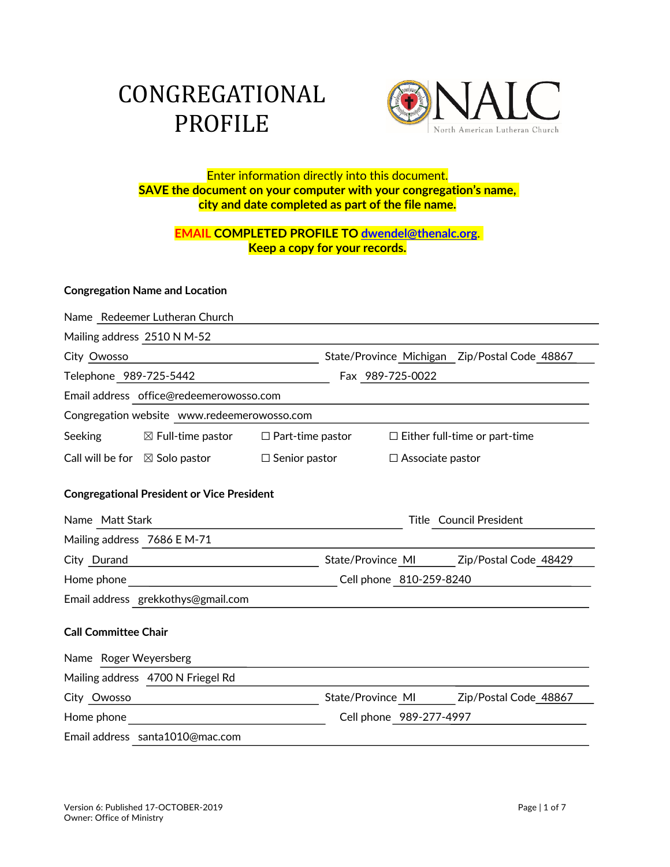# CONGREGATIONAL PROFILE



## Enter information directly into this document. **SAVE the document on your computer with your congregation's name, city and date completed as part of the file name.**

# **EMAIL COMPLETED PROFILE TO dwendel@thenalc.org**. **Keep a copy for your records.**

#### **Congregation Name and Location**

|                                                   | Name Redeemer Lutheran Church                        |                      |                                               |                         |                                         |  |
|---------------------------------------------------|------------------------------------------------------|----------------------|-----------------------------------------------|-------------------------|-----------------------------------------|--|
| Mailing address 2510 N M-52                       |                                                      |                      |                                               |                         |                                         |  |
| City Owosso                                       |                                                      |                      | State/Province Michigan Zip/Postal Code 48867 |                         |                                         |  |
| Telephone 989-725-5442                            |                                                      |                      | Fax 989-725-0022                              |                         |                                         |  |
| Email address office@redeemerowosso.com           |                                                      |                      |                                               |                         |                                         |  |
| Congregation website www.redeemerowosso.com       |                                                      |                      |                                               |                         |                                         |  |
| Seeking                                           | $\boxtimes$ Full-time pastor $\Box$ Part-time pastor |                      |                                               |                         | $\Box$ Either full-time or part-time    |  |
|                                                   | Call will be for $\boxtimes$ Solo pastor             | $\Box$ Senior pastor |                                               | $\Box$ Associate pastor |                                         |  |
| <b>Congregational President or Vice President</b> |                                                      |                      |                                               |                         |                                         |  |
| Name Matt Stark                                   |                                                      |                      | Title Council President                       |                         |                                         |  |
| Mailing address 7686 E M-71                       |                                                      |                      |                                               |                         |                                         |  |
| City Durand                                       |                                                      |                      |                                               |                         | State/Province MI Zip/Postal Code 48429 |  |
| Home phone                                        |                                                      |                      | Cell phone 810-259-8240                       |                         |                                         |  |
| Email address grekkothys@gmail.com                |                                                      |                      |                                               |                         |                                         |  |
| <b>Call Committee Chair</b>                       |                                                      |                      |                                               |                         |                                         |  |
| Name Roger Weyersberg                             |                                                      |                      |                                               |                         |                                         |  |
|                                                   | Mailing address 4700 N Friegel Rd                    |                      |                                               |                         |                                         |  |
| City Owosso                                       |                                                      |                      |                                               | State/Province MI       | Zip/Postal Code 48867                   |  |
| Home phone                                        |                                                      |                      |                                               | Cell phone 989-277-4997 |                                         |  |
|                                                   | Email address santa1010@mac.com                      |                      |                                               |                         |                                         |  |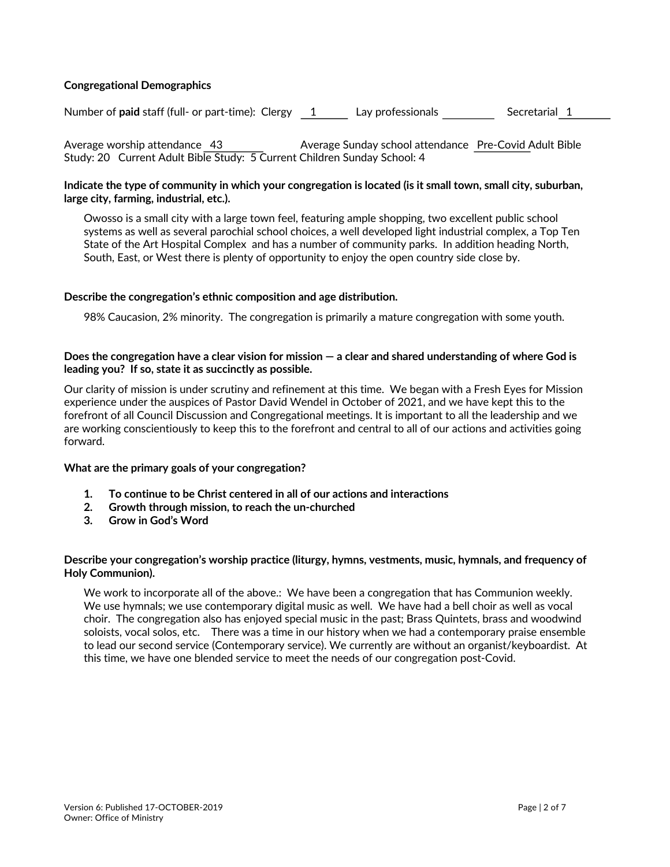#### **Congregational Demographics**

Number of **paid** staff (full- or part-time): Clergy 1 Lay professionals Secretarial 1

Average worship attendance 43 Average Sunday school attendance Pre-Covid Adult Bible Study: 20 Current Adult Bible Study: 5 Current Children Sunday School: 4

#### **Indicate the type of community in which your congregation is located (is it small town, small city, suburban, large city, farming, industrial, etc.).**

Owosso is a small city with a large town feel, featuring ample shopping, two excellent public school systems as well as several parochial school choices, a well developed light industrial complex, a Top Ten State of the Art Hospital Complex and has a number of community parks. In addition heading North, South, East, or West there is plenty of opportunity to enjoy the open country side close by.

#### **Describe the congregation's ethnic composition and age distribution.**

98% Caucasion, 2% minority. The congregation is primarily a mature congregation with some youth.

#### **Does the congregation have a clear vision for mission — a clear and shared understanding of where God is leading you? If so, state it as succinctly as possible.**

Our clarity of mission is under scrutiny and refinement at this time. We began with a Fresh Eyes for Mission experience under the auspices of Pastor David Wendel in October of 2021, and we have kept this to the forefront of all Council Discussion and Congregational meetings. It is important to all the leadership and we are working conscientiously to keep this to the forefront and central to all of our actions and activities going forward.

#### **What are the primary goals of your congregation?**

- **1. To continue to be Christ centered in all of our actions and interactions**
- **2. Growth through mission, to reach the un-churched**
- **3. Grow in God's Word**

#### **Describe your congregation's worship practice (liturgy, hymns, vestments, music, hymnals, and frequency of Holy Communion).**

We work to incorporate all of the above.: We have been a congregation that has Communion weekly. We use hymnals; we use contemporary digital music as well. We have had a bell choir as well as vocal choir. The congregation also has enjoyed special music in the past; Brass Quintets, brass and woodwind soloists, vocal solos, etc. There was a time in our history when we had a contemporary praise ensemble to lead our second service (Contemporary service). We currently are without an organist/keyboardist. At this time, we have one blended service to meet the needs of our congregation post-Covid.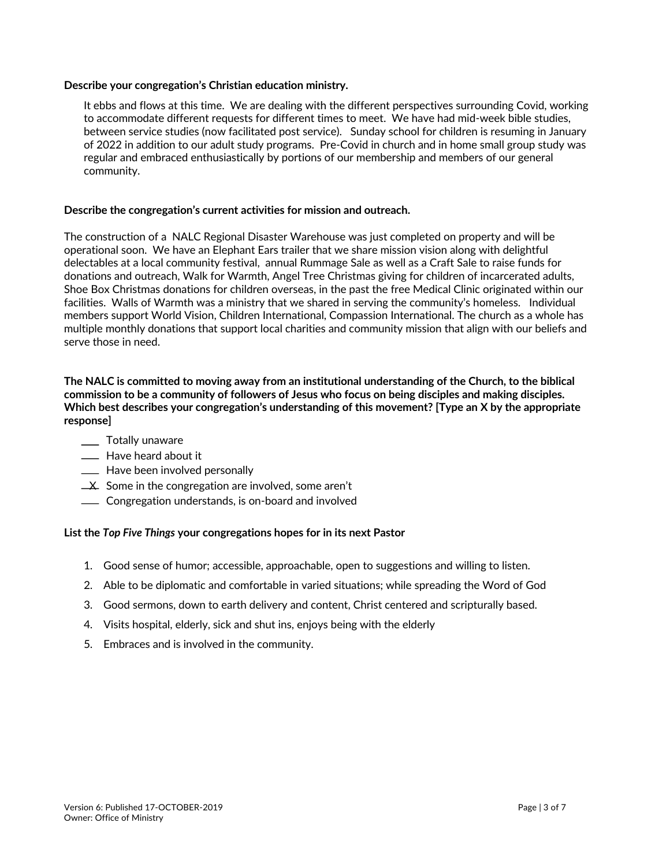#### **Describe your congregation's Christian education ministry.**

It ebbs and flows at this time. We are dealing with the different perspectives surrounding Covid, working to accommodate different requests for different times to meet. We have had mid-week bible studies, between service studies (now facilitated post service). Sunday school for children is resuming in January of 2022 in addition to our adult study programs. Pre-Covid in church and in home small group study was regular and embraced enthusiastically by portions of our membership and members of our general community.

#### **Describe the congregation's current activities for mission and outreach.**

The construction of a NALC Regional Disaster Warehouse was just completed on property and will be operational soon. We have an Elephant Ears trailer that we share mission vision along with delightful delectables at a local community festival, annual Rummage Sale as well as a Craft Sale to raise funds for donations and outreach, Walk for Warmth, Angel Tree Christmas giving for children of incarcerated adults, Shoe Box Christmas donations for children overseas, in the past the free Medical Clinic originated within our facilities. Walls of Warmth was a ministry that we shared in serving the community's homeless. Individual members support World Vision, Children International, Compassion International. The church as a whole has multiple monthly donations that support local charities and community mission that align with our beliefs and serve those in need.

#### **The NALC is committed to moving away from an institutional understanding of the Church, to the biblical commission to be a community of followers of Jesus who focus on being disciples and making disciples. Which best describes your congregation's understanding of this movement? [Type an X by the appropriate response]**

- **Totally unaware**
- **EXEC** Have heard about it
- **EXECUTE:** Have been involved personally
- $\angle X$  Some in the congregation are involved, some aren't
- **Congregation understands, is on-board and involved**

#### **List the** *Top Five Things* **your congregations hopes for in its next Pastor**

- 1. Good sense of humor; accessible, approachable, open to suggestions and willing to listen.
- 2. Able to be diplomatic and comfortable in varied situations; while spreading the Word of God
- 3. Good sermons, down to earth delivery and content, Christ centered and scripturally based.
- 4. Visits hospital, elderly, sick and shut ins, enjoys being with the elderly
- 5. Embraces and is involved in the community.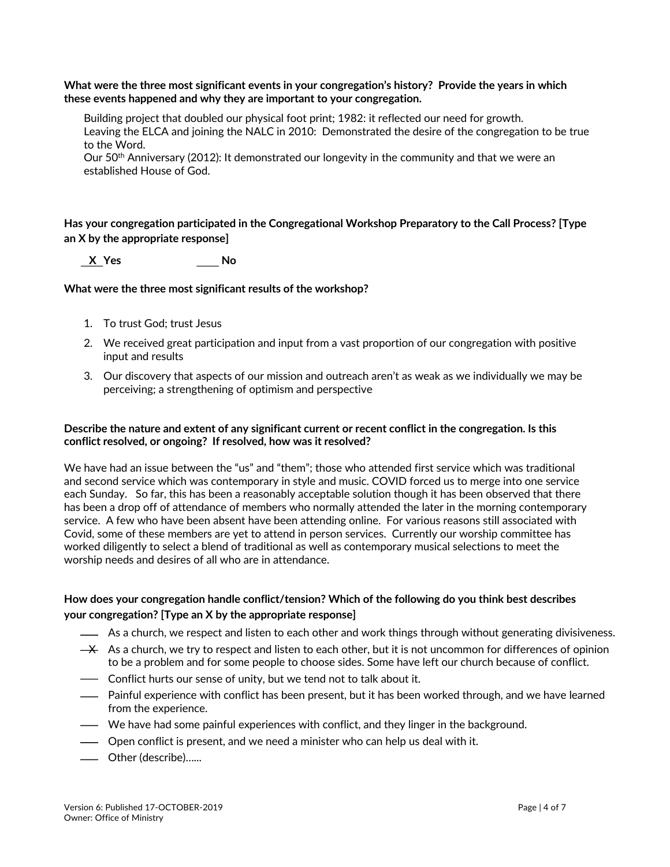**What were the three most significant events in your congregation's history? Provide the years in which these events happened and why they are important to your congregation.**

Building project that doubled our physical foot print; 1982: it reflected our need for growth. Leaving the ELCA and joining the NALC in 2010: Demonstrated the desire of the congregation to be true to the Word.

Our 50<sup>th</sup> Anniversary (2012): It demonstrated our longevity in the community and that we were an established House of God.

**Has your congregation participated in the Congregational Workshop Preparatory to the Call Process? [Type an X by the appropriate response]**

 **X Yes No**

#### **What were the three most significant results of the workshop?**

- 1. To trust God; trust Jesus
- 2. We received great participation and input from a vast proportion of our congregation with positive input and results
- 3. Our discovery that aspects of our mission and outreach aren't as weak as we individually we may be perceiving; a strengthening of optimism and perspective

#### **Describe the nature and extent of any significant current or recent conflict in the congregation. Is this conflict resolved, or ongoing? If resolved, how was it resolved?**

We have had an issue between the "us" and "them"; those who attended first service which was traditional and second service which was contemporary in style and music. COVID forced us to merge into one service each Sunday. So far, this has been a reasonably acceptable solution though it has been observed that there has been a drop off of attendance of members who normally attended the later in the morning contemporary service. A few who have been absent have been attending online. For various reasons still associated with Covid, some of these members are yet to attend in person services. Currently our worship committee has worked diligently to select a blend of traditional as well as contemporary musical selections to meet the worship needs and desires of all who are in attendance.

#### **How does your congregation handle conflict/tension? Which of the following do you think best describes your congregation? [Type an X by the appropriate response]**

- As a church, we respect and listen to each other and work things through without generating divisiveness.
- $\rightarrow$  As a church, we try to respect and listen to each other, but it is not uncommon for differences of opinion to be a problem and for some people to choose sides. Some have left our church because of conflict.
- **-** Conflict hurts our sense of unity, but we tend not to talk about it.
- Painful experience with conflict has been present, but it has been worked through, and we have learned from the experience.
- We have had some painful experiences with conflict, and they linger in the background.
- Open conflict is present, and we need a minister who can help us deal with it.
- Other (describe)…...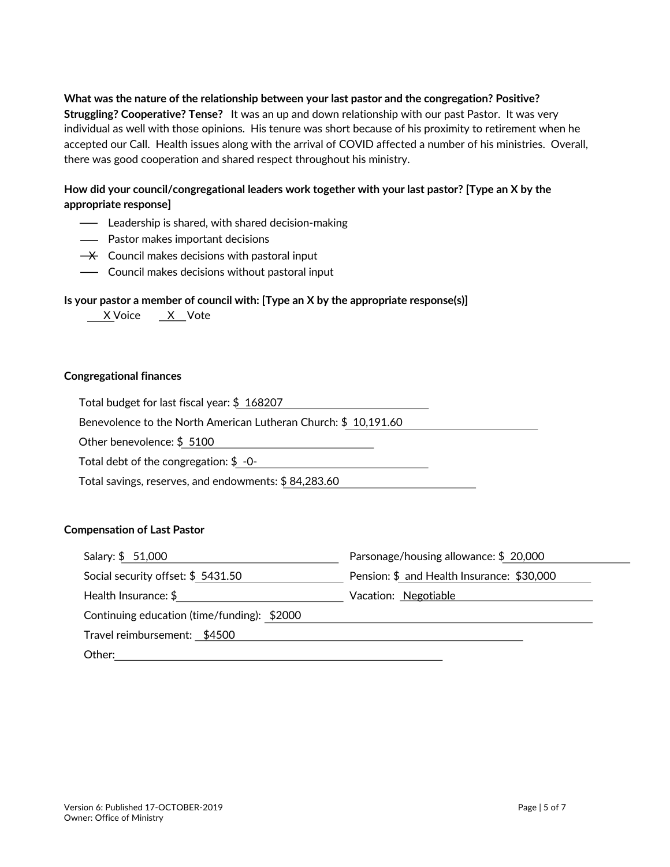**What was the nature of the relationship between your last pastor and the congregation? Positive? Struggling? Cooperative? Tense?** It was an up and down relationship with our past Pastor. It was very individual as well with those opinions. His tenure was short because of his proximity to retirement when he accepted our Call. Health issues along with the arrival of COVID affected a number of his ministries. Overall, there was good cooperation and shared respect throughout his ministry.

### **How did your council/congregational leaders work together with your last pastor? [Type an X by the appropriate response]**

- **-** Leadership is shared, with shared decision-making
- Pastor makes important decisions
- $\rightarrow$  Council makes decisions with pastoral input
- Council makes decisions without pastoral input

#### **Is your pastor a member of council with: [Type an X by the appropriate response(s)]**

| Vote |
|------|
|      |

#### **Congregational finances**

Total budget for last fiscal year: \$ 168207

Benevolence to the North American Lutheran Church: \$ 10,191.60

Other benevolence: \$ 5100

Total debt of the congregation: \$ -0-

Total savings, reserves, and endowments: \$ 84,283.60

#### **Compensation of Last Pastor**

| Salary: \$ 51,000                           | Parsonage/housing allowance: \$20,000      |  |  |
|---------------------------------------------|--------------------------------------------|--|--|
| Social security offset: \$5431.50           | Pension: \$ and Health Insurance: \$30,000 |  |  |
| Health Insurance: $$$                       | Vacation: Negotiable                       |  |  |
| Continuing education (time/funding): \$2000 |                                            |  |  |
| Travel reimbursement: \$4500                |                                            |  |  |
| Other:                                      |                                            |  |  |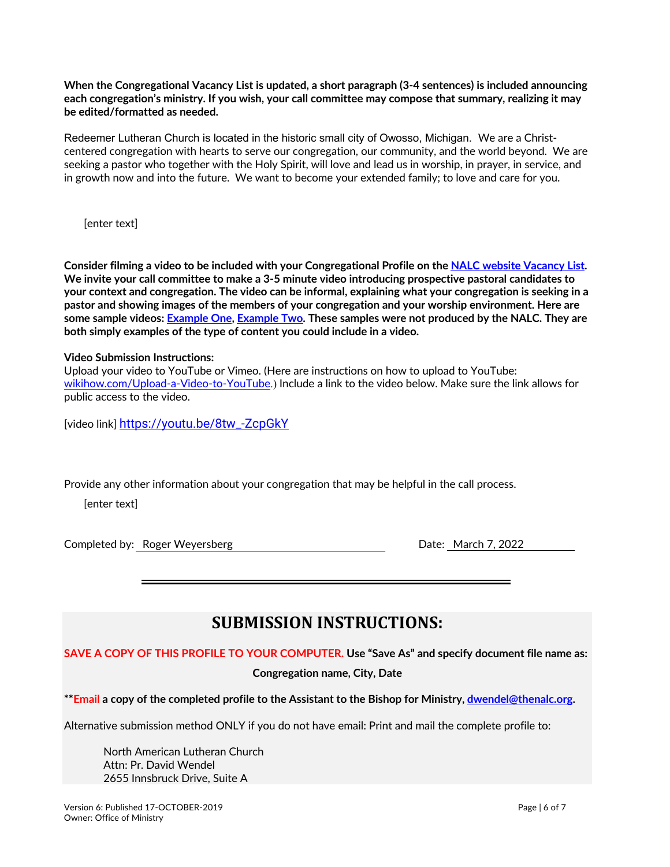**When the Congregational Vacancy List is updated, a short paragraph (3-4 sentences) is included announcing each congregation's ministry. If you wish, your call committee may compose that summary, realizing it may be edited/formatted as needed.**

Redeemer Lutheran Church is located in the historic small city of Owosso, Michigan. We are a Christcentered congregation with hearts to serve our congregation, our community, and the world beyond. We are seeking a pastor who together with the Holy Spirit, will love and lead us in worship, in prayer, in service, and in growth now and into the future. We want to become your extended family; to love and care for you.

[enter text]

**Consider filming a video to be included with your Congregational Profile on the NALC website Vacancy List. We invite your call committee to make a 3-5 minute video introducing prospective pastoral candidates to your context and congregation. The video can be informal, explaining what your congregation is seeking in a pastor and showing images of the members of your congregation and your worship environment. Here are some sample videos: Example One, Example Two. These samples were not produced by the NALC. They are both simply examples of the type of content you could include in a video.**

#### **Video Submission Instructions:**

Upload your video to YouTube or Vimeo. (Here are instructions on how to upload to YouTube: wikihow.com/Upload-a-Video-to-YouTube.) Include a link to the video below. Make sure the link allows for public access to the video.

[video link] https://youtu.be/8tw\_-ZcpGkY

Provide any other information about your congregation that may be helpful in the call process.

[enter text]

Completed by: Roger Weyersberg **Date: March 7, 2022** 

# **SUBMISSION INSTRUCTIONS:**

**SAVE A COPY OF THIS PROFILE TO YOUR COMPUTER. Use "Save As" and specify document file name as: Congregation name, City, Date**

**\*\*Email a copy of the completed profile to the Assistant to the Bishop for Ministry, dwendel@thenalc.org.**

Alternative submission method ONLY if you do not have email: Print and mail the complete profile to:

North American Lutheran Church Attn: Pr. David Wendel 2655 Innsbruck Drive, Suite A